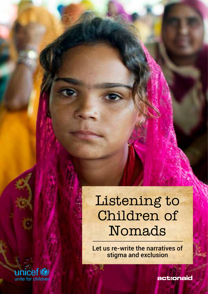# Listening to Children of Nomads

Let us re-write the narratives of stigma and exclusion



act:onaid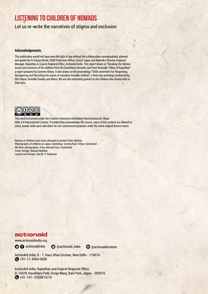## **Listening to Children of Nomads**

Let us re-write the narratives of stigma and exclusion

#### **Acknowledgements**

This publication would not have seen the light of day without the collaboration conceptualised, planned and guided by Dr.Sanjay Nirala, Child Protection Officer, Unicef Jaipur and Narendra Sharma, Regional Manager, Rajasthan & Gujarat Regional Office, ActionAid India. This report draws on "Breaking the Silence: Issues and concerns of the children from the Denotified, Nomadic and Semi-Nomadic Tribes of Rajasthan" a report prepared by Sameen Almas. It also draws on the proceedings "Child convention for Respecting, Recognizing and Recording the voices of voiceless invisible children" a three day workshop conducted by Shiv Nayal, Amitabh Pandey and Mansi. We are also extremely grateful to the children who shared with us their lives.



This work is licensed under the Creative Commons Attribution-NonCommercial-Share Alike 4.0 International Licence. Provided they acknowledge the source, users of this content are allowed to remix, tweak, build upon and share for non-commercial purposes under the same original licence terms.

Names of children have been changed to protect their identity. Photographs of children at Jaipur workshop: Varsha Rani Tirkey | ActionAid All other photographs: Firoz Ahmad Firoz | ActionAid Cover Design: Nabajit Malakar Layout and Design: and M. V. Rajeevan

#### act:onaid

www.actionaidindia.org

**O actionaidindia** @ @actionaid\_india @ @actionaidcomms

ActionAid India, R - 7, Hauz Khas Enclave, New Delhi - 110016 +91-11-4064 0500

ActionAid India, Rajasthan and Gujarat Regional Office, D-143/B, Kaushlaya Path, Durga Marg, Bani Park, Jaipur - 302016  $\bigodot$  +91-141-2209813/14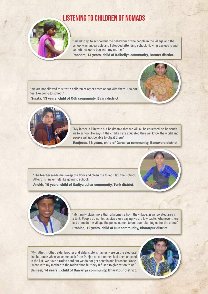## **Listening to Children of Nomads**



"I used to go to school but the behaviour of the people in the village and the school was unbearable and I stopped attending school. Now I graze goats and sometimes go to beg with my mother."

Poonam, 14 years, child of Kalbeliya community, Barmer district.

"We are not allowed to sit with children of other caste or eat with them. I do not feel like going to school."

Sujata, 13 years, child of Odh community, Baara district.



"My father is illiterate but he dreams that we will all be educated, so he sends us to school. He says if the children are educated they will know the world and people will not be able to cheat them."

Ranjeeta, 16 years, child of Garasiya community, Banswara district.



"The teacher made me sweep the floor and clean the toilet. I left the school. After this I never felt like going to school."

Anokh, 10 years, child of Gadiya Luhar community, Tonk district.



"My family stays more than a kilometre from the village, in an isolated area in a tent. People do not let us stay close saying we are low caste. Whenever there is a crime in the village the police comes to our door blaming us for the crime." Prahlad, 12 years, child of Nut community, Bharatpur district.

"My father, mother, elder brother and elder sister's names were on the electoral list, but once when we came back from Punjab all our names had been crossed in the list. We have a ration card but we do not get cereals and kerosene. Once I went with my mother to the ration shop but they refused to give ration to us."

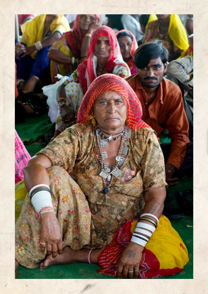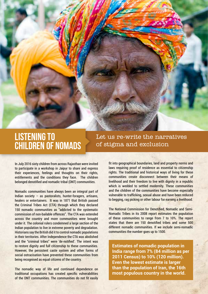# **Listening to Children of Nomads**

Let us re-write the narratives of stigma and exclusion

In July 2016 sixty children from across Rajasthan were invited to participate in a workshop in Jaipur to share and express their experiences, feelings and thoughts on their rights, entitlements and the conditions they face. The children belonged denotified and nomadic tribal (DNT) communities.

Nomadic communities have always been an integral part of Indian society – as pastoralists, hunter-foragers, artisans, healers or entertainers. It was in 1871 that British passed the Criminal Tribes Act (CTA) through which they declared 150 nomadic communities as "addicted to the systematic commission of non-bailable offences". The CTA was extended across the country and more communities were brought under it. The colonial rulers condemned a large section of the Indian population to live in extreme poverty and degradation. Historians say the British did it to control nomadic populations in their territories. After Independence the CTA was abolished and the "criminal tribes" were 'de-notified'. The intent was to restore dignity and full citizenship to these communities. However, the persistent caste system and other forms of social ostracisation have prevented these communities from being recognised as equal citizens of the country.

The nomadic way of life and continued dependence on traditional occupations has created specific vulnerabilities of the DNT communities. The communities do not fit easily

1

fit into geographical boundaries, land and property norms and laws requiring proof of residence as essential to citizenship rights. The traditional and historical ways of living for these communities create disconnect between their means of livelihood and their freedom to live with dignity in a republic which is wedded to settled modernity. These communities and the children of the communities have become especially vulnerable to trafficking, sexual abuse and have been reduced to begging, rag picking or other labour for earning a livelihood.

The National Commission for Denotified, Nomadic and Semi-Nomadic Tribes in its 2008 report estimates the population of these communities to range from 7 to 10%. The report states that there are 150 denotified tribes and some 500 different nomadic communities. If we include semi-nomadic communities the number goes up to 1500.

**Estimates of nomadic population in India range from 7% (84 million as per 2011 Census) to 10% (120 million). Even the lowest estimate is larger than the population of Iran, the 16th most populous country in the world.**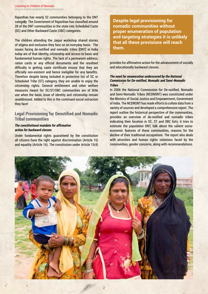Rajasthan has nearly 32 communities belonging to the DNT category. The Government of Rajasthan has classified around 28 of the DNT communities in the state into Scheduled Caste (SC) and Other Backward Caste (OBC) categories.

The children attending the Jaipur workshop shared stories of stigma and exclusion they face on an everyday basis. The issues facing de-notified and nomadic tribes [DNT] in India today are of that identity, citizenship and access to basic and fundamental human rights. The lack of a permanent address, ration cards or any official documents and the resultant difficulty in getting caste certificate ensure that they are officially non-existent and hence ineligible for any benefits. Therefore despite being included in protective list of SC or Scheduled Tribe (ST) category, they are unable to enjoy the citizenship rights. General entitlement and other welfare measures meant for SC/ST/OBC communities are of little use when the basic issue of identity and citizenship remain unaddressed. Added to this is the continued social ostracism they face!

#### **Legal Provisioning for Denotified and Nomadic Tribal communities**

#### *The constitutional mandate for affirmative action for backward classes*

Under fundamental rights guaranteed by the constitution all citizens have the right against discrimination (Article 15) and equality (Article 16). The constitution under Article 15(4)

**Despite legal provisioning for nomadic communities without proper enumeration of population and targeting strategies it is unlikely that all these provisions will reach them.**

provides for affirmative action for the advancement of socially and educationally backward classes.

#### *The need for enumeration underscored by the National Commission for De-notified, Nomadic and Semi-Nomadic Tribes*

In 2006 the National Commission for De-notified, Nomadic and Semi-Nomadic Tribes (NCDNSNT) was constituted under the Ministry of Social Justice and Empowerment, Government of India. The NCDNSNT has made efforts to collate data from a variety of sources and developed a comprehensive report. The report outline the historical perspective of the communities, provides an overview of de-notified and nomadic tribes indicating their location in SC, ST and OBC lists; it tries to estimate the population DNT, talk about the salient socioeconomic features of these communities, reasons for the decline of their traditional occupations. The report also deals with atrocities and human rights violations faced by the communities, gender concerns, along with recommendations.

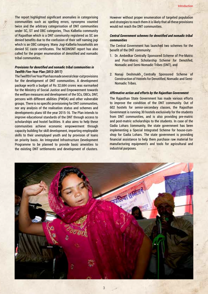The report highlighted significant anomalies in categorising communities such as spelling errors, synonyms counted twice and the arbitrary categorisation of DNT communities under SC, ST and OBC categories. Thus Kalbelia community of Rajasthan which is a DNT community registered as SC are denied benefits due to the confusion of their self naming jogi which is an OBC category. Many Jogi-Kalbelia households are denied SC caste certificates. The NCDNSNT report has also called for the proper enumeration of denotified and nomadic tribal communities.

#### *Provisions for denotified and nomadic tribal communities in Twelfth Five-Year Plan (2012-2017)*

The Twelfth Five Year Plan has made several clear-cut provisions for the development of DNT communities. A development package worth a budget of Rs 32,684 crores was earmarked for the Ministry of Social Justice and Empowerment towards the welfare measures and development of the SCs, OBCs, DNT, persons with different abilities (PWDA) and other vulnerable groups. There is no specific provisioning for DNT communities, nor any analysis of the realisation status and schemes and developments plans till the year 2015-16. The Plan intends to improve educational standards of the DNT through access to scholarships and hostel facilities. It also aims to help these communities achieve economic empowerment through capacity building for skill development, imparting employable skills to their unemployed youth and by provision of loans on priority basis. An Integrated Infrastructure Development Programme to be planned to provide basic amenities to the existing DNT settlements and development of clusters. However without proper enumeration of targeted population and strategies to reach them it is likely that all these provisions would not reach the DNT communities.

#### *Central Government schemes for denotified and nomadic tribal communities*

The Central Government has launched two schemes for the benefit of the DNT community:

- 1. Dr. Ambedkar Centrally Sponsored Scheme of Pre-Matric and Post-Matric Scholarship Scheme for Denotifed, Nomadic and Semi-Nomadic Tribes (DNT), and
- 2. Nanaji Deshmukh Centrally Sponsored Scheme of Construction of Hostels for Denotified, Nomadic and Semi-Nomadic Tribes.

#### *Affirmative action and efforts by the Rajasthan Government*

The Rajasthan State Government has made various efforts to improve the condition of the DNT community. Out of 602 hostels for senior-secondary classes, the Rajasthan Government is running 30 hostels exclusively for the students from DNT communities, and is also providing pre-matric and post-matric scholarships to the students. In case of the Gadia Lohars community, the state government has been implementing a Special Integrated Scheme for house-cumshop for Gadia Lohars. The state government is providing financial assistance to help them purchase raw material for manufacturing equipment's and tools for agricultural and industrial purposes.

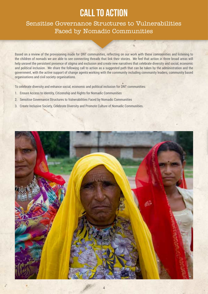### Sensitise Governance Structures to Vulnerabilities Faced by Nomadic Communities

Based on a review of the provisioning made for DNT communities, reflecting on our work with these communities and listening to the children of nomads we are able to see connecting threads that link their stories. We feel that action in three broad areas will help unravel the persistent presence of stigma and exclusion and create new narratives that celebrate diversity and social, economic and political inclusion. We share the following call to action as a suggested path that can be taken by the administration and the government, with the active support of change agents working with the community including community leaders, community based organisations and civil society organisations.

To celebrate diversity and enhance social, economic and political inclusion for DNT communities:

- 1. Ensure Access to Identity, Citizenship and Rights for Nomadic Communities
- 2. Sensitise Governance Structures to Vulnerabilities Faced by Nomadic Communities
- 3. Create Inclusive Society, Celebrate Diversity and Promote Culture of Nomadic Communities.

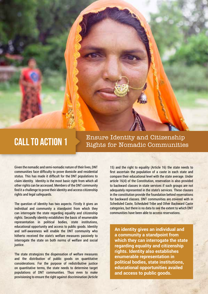Ensure Identity and Citizenship **Call to Action 1** Rights for Nomadic Communities

Given the nomadic and semi-nomadic nature of their lives, DNT communities face difficulty to prove domicile and residential status. This has made it difficult for the DNT populations to claim identity. Identity is the most basic right from which all other rights can be accessed. Members of the DNT community find it a challenge to prove their identity and access citizenship rights and legal safeguards.

The question of identity has two aspects. Firstly it gives an individual and community a standpoint from which they can interrogate the state regarding equality and citizenship rights. Secondly identity establishes the basis of enumerable representation in political bodies, state institutions, educational opportunity and access to public goods. Identity and self-awareness will enable the DNT community who hitherto received the state's welfare measures passively to interrogate the state on both norms of welfare and social justice.

The state strategizes the dispensation of welfare measures and the distribution of public goods on quantitative considerations. For the purpose of redistributive justice on quantitative terms, the state needs to determine target populations of DNT communities. Thus even to make provisioning to ensure the right against discrimination (Article

15) and the right to equality (Article 16) the state needs to first ascertain the population of a caste in each state and compare their educational level with the state average. Under article 16(4) of the Constitution, reservation is also provided to backward classes in state services if such groups are not adequately represented in the state's services. These clauses in the constitution provide the foundation behind reservations for backward classes. DNT communities are covered with in Scheduled Caste, Scheduled Tribe and Other Backward Caste categories, but there is no data to see the extent to which DNT communities have been able to access reservations.

**An identity gives an individual and a community a standpoint from which they can interrogate the state regarding equality and citizenship rights. Identity also establishes enumerable representation in political bodies, state institutions, educational opportunities availed and access to public goods.**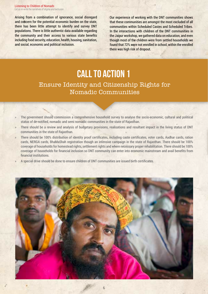#### Listening to Children of Nomads *Let us re-write the narratives of stigma and exclusion*

Arising from a combination of ignorance, social disregard and concern for the potential economic burden on the state, there has been little attempt to identify and survey DNT populations. There is little authentic data available regarding the community and their access to various state benefits including food security, education, health, housing, sanitation, and social, economic and political inclusion.

Our experience of working with the DNT communities shows that these communities are amongst the most excluded of all communities within Scheduled Castes and Scheduled Tribes. In the interactions with children of the DNT communities in the Jaipur workshop, we gathered data on education, and even though most of the children were from settled households we found that 72% were not enrolled in school, within the enrolled there was high risk of dropout.

# **Call to Action 1** Ensure Identity and Citizenship Rights for Nomadic Communities

- » The government should commission a comprehensive household survey to analyse the socio-economic, cultural and political status of de-notified, nomadic and semi nomadic communities in the state of Rajasthan.
- » There should be a review and analysis of budgetary provisions, realisations and resultant impact in the living status of DNT communities in the state of Rajasthan.
- » There should be 100% distribution of identity proof certificates, including caste certificates, voter cards, Aadhar cards, ration cards, NERGA cards, BhaMaShah registration though an intensive campaign in the state of Rajasthan. There should be 100% coverage of households for homestead rights, settlement rights and where necessary proper rehabilitation. There should be 100% coverage of households for financial inclusion so DNT community can enter into economic mainstream and avail benefits from financial institutions.
- » A special drive should be done to ensure children of DNT communities are issued birth certificates.

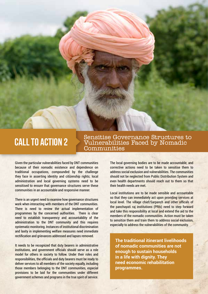Sensitise Governance Structures to Vulnerabilities Faced by Nomadic Communities

Given the particular vulnerabilities faced by DNT communities because of their nomadic existence and dependence on traditional occupations, compounded by the challenge they face in asserting identity and citizenship rights; local administration and local governing systems need to be sensitised to ensure that governance structures serve these communities in an accountable and responsive manner.

There is an urgent need to examine how governance structures work when interacting with members of the DNT communities. There is need to review the actual implementation of programmes by the concerned authorities. There is clear need to establish transparency and accountability of the administration to the DNT community and this requires systematic monitoring. Instances of institutional discrimination and laxity in implementing welfare measures need immediate rectification and grievances addressed and lapses removed.

It needs to be recognized that duty bearers in administrative institutions, and government officials should serve as a role model for others in society to follow. Under their roles and responsibilities, the officials and duty bearers must be ready to deliver services to all members of the society equally, including those members belonging to the DNT communities, especial provisions to be laid for the communities under different government schemes and programs in the true spirit of service.

The local governing bodies are to be made accountable, and corrective actions need to be taken to sensitise them to address social exclusion and vulnerabilities. The communities should not be neglected from Public Distribution System and even health departments should reach out to them so that their health needs are met.

Local institutions are to be made sensible and accountable so that they can immediately act upon providing services at local level. The village chief/Sarpanch and other officals of the panchayati raj institutions (PRIs) need to step forward and take this responsibility at local and extend the aid to the members of the nomadic communities. Action must be taken to sensitize them and train them to address social exclusion, especially to address the vulnerabilities of the community.

**The traditional itinerant livelihoods of nomadic communities are not enough to sustain households in a life with dignity. They need economic rehabilitation programmes.**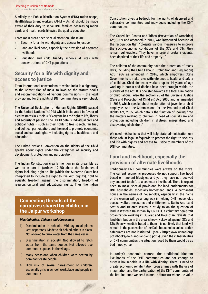Similarly the Public Distribution System (PDS) ration shops, Health department workers (ANM + Asha) should be made aware of their duty to serve DNT families possessing ration cards and health cards likewise the quality education.

Three main areas need special attention. These are:

- » Security for a life with dignity and access to justice
- » Land and livelihood, especially the provision of alternate livelihoods
- » Education and child friendly schools at sites with concentrations of DNT populations

### **Security for a life with dignity and access to justice**

From International conventions to which India is a signatory, to the Constitution of India, to laws on the statute books and recommendations of various commissions – the legal provisioning for the rights of DNT communities is very robust.

The Universal Declaration of Human Rights (UDHR) passed by the United Nations in 1948 which India voted in favour of clearly states in Article 3: "Everyone has the right to life, liberty and security of person." The UDHR details individual civil and political rights – such as their rights to free speech, fair trial, and political participation, and the need to promote economic, social and cultural rights – including rights to health care and education.

The United Nations Convention on the Rights of the Child speaks about rights under the categories of security and development, protection and participation.

The Indian Constitution clearly mention in its preamble as well as in part III (Articles 12-35) about the fundamental rights including right to life (which the Supreme Court has interpreted to include the right to live with dignity), right to equality, freedom against the discrimination, freedom of religion, cultural and educational rights. Thus the Indian

#### **Connecting threads of the narratives shared by children in the Jaipur workshop**

#### *Discrimination, Violence and Harassment*

- 1) Discrimination in schools. Mid-day meal plates kept separately. Made to sit behind others in class. Not allowed to drink water from the same vessel.
- 2) Discrimination in society. Not allowed to fetch water from the same source. Not allowed use community spaces in the village.
- 3) Many occasions when children were beaten by dominant caste people.
- 4) High risk of sexual harassment of children, especially girls in school, workplace and people in community.

Constitution gives a bedrock for the rights of deprived and vulnerable communities and individuals including the DNT **communities** 

The Scheduled Castes and Tribes (Prevention of Atrocities) Act, 1989 and amended in 2015, was introduced because of the recognition that "[d]espite various measures to improve the socio-economic conditions of the SCs and STs, they remain vulnerable…. They have, in several brutal incidents, been deprived of their life and property…."

The children of the community have the protection of many laws, including the Child Labour (Prohibition and Regulation) Act, 1986 as amended in 2016, which empowers State Governments to make rules with reference to health and safety of children. Child domestic workers up to 14 years of age working in hotels and dhabas have been brought within the purview of the Act. It is one step towards the total elimination of child labour. Also the section 26 of the Juvenile Justice (Care and Protection of Children) Act, 2000 and as amended in 2015, which speaks about exploitation of juvenile or child employee. And the Commissions for the Protection of Child Rights Act, 2005, which details the function of looking "into the matters relating to children in need of special care and protection including children in distress, marginalized and disadvantaged children."

We need mechanisms that will help state administration use these robust legal safeguards to protect the right to security and life with dignity and access to justice to members of the DNT communities.

### **Land and livelihood, especially the provision of alternate livelihoods**

Traditionally DNT communities were always on the move. The current economic processes do not support livelihood based on itinerant lifestyles, and yet they have not received any support to shift to a sedentary livelihood. There is urgent need to make special provisions for land entitlements for DNT households, especially homestead lands. A permanent house in the names of households, especially in the name of the women will go a long way in helping DNT households access welfare measures and entitlements. Dalits And Land Status And Related Issues, a study to on the question of land in Western Rajasthan, by UNNATI, a voluntary non-profit organization working in Gujarat and Rajasthan, reveals that land distribution in the area is heavily skewed against SCs and STs. Even when distributed to them it is not likely that land will remain in the possession of the Dalit households unless active safeguards are not instituted. (see < http://www.unnati.org/ pdfs/books/dalit-and-land-eng.pdf >) Given the vulnerabilities of DNT communities the situation faced by them would be as bad if not worse.

In today's economic context the traditional itinerant livelihoods of the DNT communities are not enough to sustain households in a life with dignity. There is need to create economic rehabilitation programmes with the use of imagination and the participation of the DNT community. At the first instance we need to create contexts where the value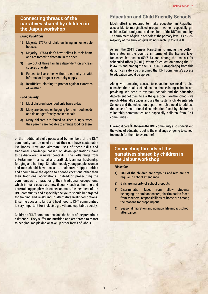#### **Connecting threads of the narratives shared by children in the Jaipur workshop**

#### *Living Conditions*

- 1) Majority (75%) of children living in vulnerable houses.
- 2) Majority (+75%) don't have toilets in their home and are forced to defecate in the open
- 3) Two out of three families dependent on unclean sources of water
- 4) Forced to live either without electricity or with informal or irregular electricity supply
- 5) Insufficient clothing to protect against extremes of weather

#### *Food Security*

- 1) Most children have food only twice a day
- 2) Many are depend on begging for their food needs and do not get freshly cooked meals
- 3) Many children are forced to sleep hungry when their parents are not able to arrange food for them.

of the traditional skills possessed by members of the DNT community can be used so that they can have sustainable livelihoods. New and alternate uses of these skills and traditional knowledge passed on down generations have to be discovered in newer contexts. The skills range from entertainment, artisanal and craft skill, animal husbandry, foraging and hunting. Simultaneously young people, women and men should have access to mainstream opportunities and should have the option to choose vocations other than their traditional occupations. Instead of prosecuting the communities for practicing their traditional occupations, which in many cases are now illegal – such as hunting and entertaining people with trained animals, the members of the DNT community and especially the youth should be targeted for training and re-skilling in alternative livelihood options. Ensuring access to land and livelihood to DNT communities is very important for inclusive growth and equitable society.

Children of DNT communities face the brunt of the precarious existence. They suffer malnutrition and are forced to resort to begging, rag picking or take up other forms of labour.

#### **Education and Child Friendly Schools**

Much effort is required to make education in Rajasthan accessible to marginalised groups - women especially girl children, Dalits, migrants and members of the DNT community. The enrolment of girls in schools at the primary level is 47.79%, majority of the enrolled girls do not reach up to class 8.

As per the 2011 Census Rajasthan is among the bottom five states in the country in terms of the literacy level for scheduled castes (59.7 %) and among the last six for scheduled tribes (52.8%). Women's education among the SC is 44.5% and among the ST is 37.3%. Extrapolating from this data, it can safely be presumed that DNT community's access to education would be worse.

Along with ensuring access to education we need to also consider the quality of education that existing schools are providing. We need to overhaul schools and the education department get them to ask the question – are the schools we run child-friendly spaces and are the systems child-centered? Schools and the education department also need to address the issue of institutional discrimination faced by children of vulnerable communities and especially children from DNT communities.

Like most parents those in the DNT community also understand the value of education, but is the challenge of going to school too much for them to overcome?

#### **Connecting threads of the narratives shared by children in the Jaipur workshop**

#### *Education*

- 1) 28% of the children are dropouts and rest are not regular in school attendance
- 2) Girls are majority of school dropouts
- 3) Discrimination faced from fellow students belonging to dominant castes, discrimination faced from teachers, responsibilities at home are among the reasons for dropping out
- 4) Seasonal migration and nomadic life impact school attendance.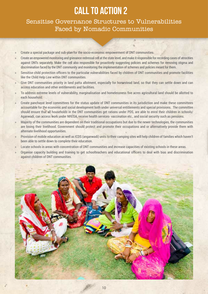### Sensitise Governance Structures to Vulnerabilities Faced by Nomadic Communities

- » Create a special package and sub-plan for the socio-economic empowerment of DNT communities.
- » Create an empowered monitoring and grievance redressal cell at the state level, and make it responsible for recording cases of atrocities against DNTs separately. Make the cell also responsible for proactively suggesting policies and schemes for removing stigma and discrimination faced by the DNT community and monitoring the implementation of schemes and policies meant for them.
- » Sensitise child protection officers to the particular vulnerabilities faced by children of DNT communities and promote facilities like the Child Help Line within DNT communities.
- » Give DNT communities priority in land patta allotment, especially for homestead land, so that they can settle down and can access education and other entitlements and facilities.
- » To address extreme levels of vulnerability, marginalisation and homelessness five acres agricultural land should be allotted to each household.
- » Create panchayat level committees for the status update of DNT communities in its jurisdiction and make these committees accountable for the economic and social development both under universal entitlements and special provisions. The committee should ensure that all households in the DNT communities get rations under PDS, are able to enrol their children in schools/ Aganwadi, can access work under NREGA, receive health services- vaccination etc., and social security such as pensions.
- » Majority of the communities are dependent on their traditional occupations but due to the newer technologies, the communities are losing their livelihood. Government should protect and promote their occupations and or alternatively provide them with alternate livelihood opportunities.
- » Provision of mobile education as well as ICDS (anganwadi) units to their camping sites will help children of families which haven't been able to settle down to complete their education.
- » Locate schools in areas with concentration of DNT communities and increase capacities of existing schools in these areas.
- » Organise capacity building and training to get schoolteachers and educational officers to deal with bias and discrimination against children of DNT communities.

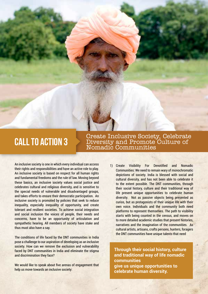Create Inclusive Society, Celebrate Diversity and Promote Culture of Nomadic Communities **Call to Action 3**

An inclusive society is one in which every individual can access their rights and responsibilities and have an active role to play. An inclusive society is based on respect for all human rights and fundamental freedoms and the rule of law. Moving beyond these basics, an inclusive society values social justice and celebrates cultural and religious diversity, and is sensitive to the special needs of vulnerable and disadvantaged groups, and takes efforts to ensure their democratic participation. An inclusive society is promoted by policies that seek to reduce inequality, especially inequality of opportunity, and create tolerant and resilient societies. To achieve social integration and social inclusion the voices of people, their needs and concerns, have to be an opportunity of articulation and sympathetic hearing. All members of society have stake and thus must also have a say.

The conditions of life faced by the DNT communities in India pose a challenge to our aspiration of developing as an inclusive society. How can we remove the exclusion and vulnerability faced by DNT communities in India and eliminate the stigma and discrimination they face?

We would like to speak about five arenas of engagement that help us move towards an inclusive society:

1) Create Visibility For Denotified and Nomadic Communities: We need to remain wary of monochromatic depictions of society. India is blessed with social and cultural diversity, and has not been able to celebrate it to the extent possible. The DNT communities, through their social history, culture and their traditional way of life present unique opportunities to celebrate human diversity. Not as passive objects being presented as curios, but as protagonists of their unique life with their own voice. Individuals and the community both need platforms to represent themselves. The path to visibility starts with being counted in the census, and moves on to more detailed academic studies that present histories, narratives and the imagination of the communities. As cultural artists, artisans, crafts persons, hunters, foragers the DNT communities have unique talents that need

**Through their social history, culture and traditional way of life nomadic communities give us unique opportunities to celebrate human diversity.**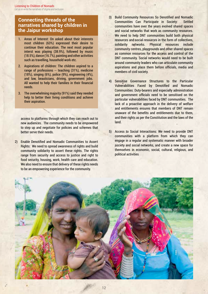#### **Connecting threads of the narratives shared by children in the Jaipur workshop**

- 1. Areas of Interest: On asked about their interests most children (63%) expressed their desire to continue their education. The next most popular interst was playing (38.9%), followed by music (18.5%), dance (16.7%), painting and other activities such as travelling, household work etc.
- 2. Aspirations of children: The children aspired to a range of professions -- teaching (31%), medicine (18%), singing (6%), police (9%), engineering (4%), and law, beauticians, driving, government jobs. All wanted to help their families in their financial needs.
- 3. The overwhelming majority (91%) said they needed help to better their living conditions and achieve their aspiration.

access to platforms through which they can reach out to new audiences. The community needs to be empowered to step up and negotiate for policies and schemes that better serve their needs.

2) Enable Denotified and Nomadic Communities to Assert Rights: We need to spread awareness of rights and build community solidarity to assert these rights. The rights range from security and access to justice and right to food security, housing, work, health care and education. We also need to ensure that delivery of these rights needs to be an empowering experience for the community.

- 3) Build Community Resources So Denotified and Nomadic Communities Can Participate in Society: Settled communities have over the years evolved shared spaces and social networks that work as community resources. We need to help DNT communities build both physical resources and social resources in the form of collectives, solidarity networks. Physical resources include community centres, playgrounds and other shared spaces as common resources for the access and control of the DNT community. Social networks would need to be built around community leaders who can articulate community aspirations and place them before officials, media and members of civil society.
- Sensitise Governance Structures to the Particular Vulnerabilities Faced by Denotified and Nomadic Communities: Duty-bearers and especially administration and government officials need to be sensitised on the particular vulnerabilities faced by DNT communities. The lack of a proactive approach in the delivery of welfare and entitlements ensures that members of DNT remain unaware of the benefits and entitlements due to them, and their rights as per the Constitution and the laws of the land.
- 5) Access to Social Interactions: We need to provide DNT communities with a platform from which they can engage in a regular and systematic manner with broader society and social networks, and create a new space for themselves in economic, social, cultural, religious, and political activities

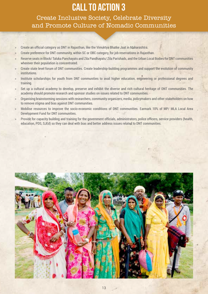### Create Inclusive Society, Celebrate Diversity and Promote Culture of Nomadic Communities

- » Create an official category as DNT in Rajasthan, like the Vimuktya Bhatke Jaat in Maharashtra.
- » Create preference for DNT community, within SC or OBC category, for job reservations in Rajasthan.
- » Reserve seats in Block/ Taluka Panchayats and Zila Pandhayats/ Zila Parishads, and the Urban Local Bodies for DNT communities wherever their population is concentrated.
- » Create state level forum of DNT communities. Create leadership-building programmes and support the evolution of community institutions.
- » Institute scholarships for youth from DNT communities to avail higher education, engineering or professional degrees and training.
- » Set up a cultural academy to develop, preserve and exhibit the diverse and rich cultural heritage of DNT communities. The academy should promote research and sponsor studies on issues related to DNT communities.
- » Organising brainstorming sessions with researchers, community organizers, media, policymakers and other stakeholders on how to remove stigma and bias against DNT communities.
- » Mobilise resources to improve the socio-economic conditions of DNT communities. Earmark 10% of MP/ MLA Local Area Development Fund for DNT communities.
- » Provide for capacity building and training for the government officials, administrators, police officers, service providers (health, education, PDS, SJEd) so they can deal with bias and better address issues related to DNT communities.